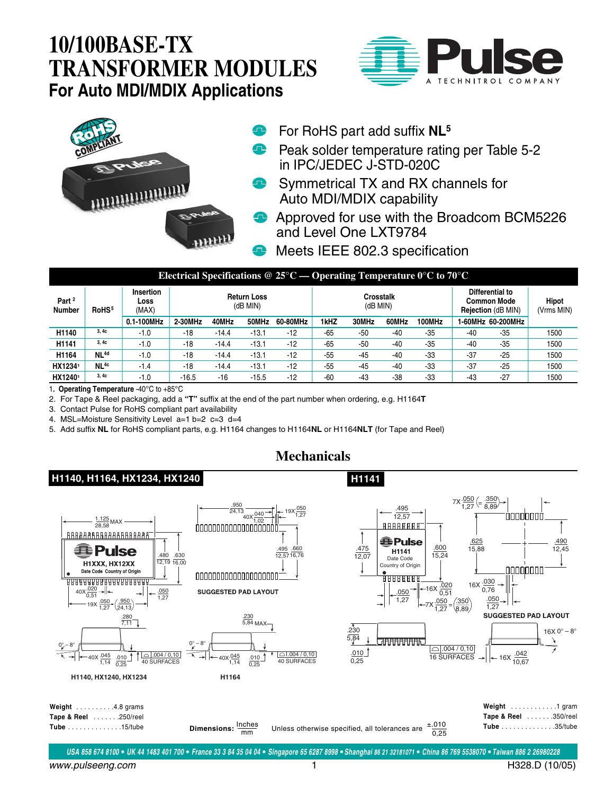## **10/100BASE-TX TRANSFORMER MODULES For Auto MDI/MDIX Applications**





- For RoHS part add suffix **NL5**
- **P** Peak solder temperature rating per Table 5-2 in IPC/JEDEC J-STD-020C
- **Symmetrical TX and RX channels for** Auto MDI/MDIX capability
- **Approved for use with the Broadcom BCM5226** and Level One LXT9784
- Meets IEEE 802.3 specification  $\bullet$

**H1141**

| Electrical Specifications @ 25 $\rm{^{\circ}C}$ — Operating Temperature $\rm{0^{\circ}C}$ to 70 $\rm{^{\circ}C}$ |                   |                                   |                                |         |         |          |                       |       |       |        |                                                                    |                   |                            |
|------------------------------------------------------------------------------------------------------------------|-------------------|-----------------------------------|--------------------------------|---------|---------|----------|-----------------------|-------|-------|--------|--------------------------------------------------------------------|-------------------|----------------------------|
| Part <sup>2</sup><br><b>Number</b>                                                                               | RoHS <sup>5</sup> | <b>Insertion</b><br>Loss<br>(MAX) | <b>Return Loss</b><br>(dB MIN) |         |         |          | Crosstalk<br>(dB MIN) |       |       |        | Differential to<br><b>Common Mode</b><br><b>Rejection (dB MIN)</b> |                   | <b>Hipot</b><br>(Vrms MIN) |
|                                                                                                                  |                   | 0.1-100MHz                        | 2-30MHz                        | 40MHz   | 50MHz   | 60-80MHz | 1kHZ                  | 30MHz | 60MHz | 100MHz |                                                                    | 1-60MHz 60-200MHz |                            |
| H1140                                                                                                            | 3.4c              | $-1.0$                            | $-18$                          | $-14.4$ | $-13.1$ | $-12$    | $-65$                 | -50   | -40   | $-35$  | $-40$                                                              | $-35$             | 1500                       |
| H1141                                                                                                            | 3.4c              | $-1.0$                            | $-18$                          | $-14.4$ | $-13.1$ | $-12$    | $-65$                 | $-50$ | $-40$ | $-35$  | $-40$                                                              | $-35$             | 1500                       |
| H1164                                                                                                            | NL <sup>4d</sup>  | $-1.0$                            | $-18$                          | $-14.4$ | $-13.1$ | $-12$    | $-55$                 | $-45$ | $-40$ | $-33$  | $-37$                                                              | $-25$             | 1500                       |
| HX12341                                                                                                          | NL <sup>4c</sup>  | $-1.4$                            | -18                            | $-14.4$ | $-13.1$ | $-12$    | $-55$                 | $-45$ | $-40$ | $-33$  | $-37$                                                              | $-25$             | 1500                       |
| HX12401                                                                                                          | 3,4c              | $-1.0$                            | $-16.5$                        | $-16$   | $-15.5$ | $-12$    | $-60$                 | $-43$ | $-38$ | $-33$  | $-43$                                                              | $-27$             | 1500                       |

1**. Operating Temperature** -40°C to +85°C

2. For Tape & Reel packaging, add a **"T"** suffix at the end of the part number when ordering, e.g. H1164**T**

3. Contact Pulse for RoHS compliant part availability

4. MSL=Moisture Sensitivity Level a=1 b=2 c=3 d=4

5. Add suffix **NL** for RoHS compliant parts, e.g. H1164 changes to H1164**NL** or H1164**NLT** (for Tape and Reel)

## **Mechanicals**

## **H1140, H1164, HX1234, HX1240**